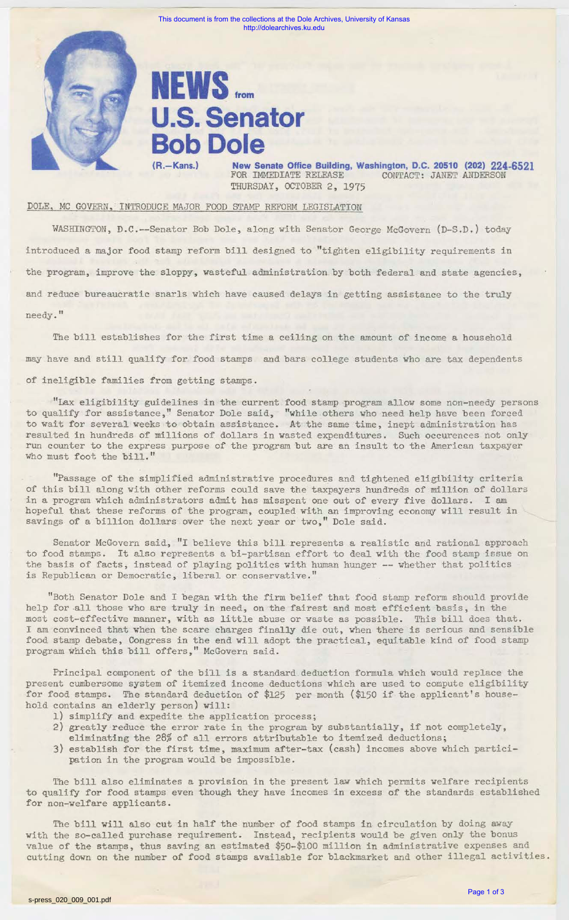

This document is from the collections at the Dole Archives, University of Kansas http://dolearchives.ku.edu

## **NEWS** from **U.S. Senator Bob Dole**

**New Senate Office Building, Washington, D.C. 20510 (202) 224-6521 FOR IMMEDIATE RELEASE CONTACT: JANET ANDERSON** CONTACT: JANET ANDERSON THURSDAY, OCTOBER 2, 1975

## DOLE, MC GOVERN, INTRODUCE MAJOR FOOD STAMP REFORM LEGISLATION

WASHINGTON, D.C.--Senator Bob Dole, along with Senator George McGovern (D-S.D.) today introduced a major food stamp reform bill designed to "tighten eligibility requirements in the program, improve the sloppy, wasteful administration by both federal and state agencies, and reduce bureaucratic snarls which have caused delays in getting assistance to the truly needy."

The bill establishes for the first time a ceiling on the amount of income a household may have and still qualify for food stamps and bars college students who are tax dependents of ineligible families from getting stamps.

"Lax eligibility guidelines in the current food stamp program allow some non-needy persons to qualify for assistance," Senator Dole said, "while others who need help have been forced to wait for several weeks to obtain assistance. At the same time, inept administration has resulted in hundreds of millions of dollars in wasted expenditures. Such occurences not only run counter to the express purpose of the program but are an insult to the American taxpayer who must foot the bill."

"Passage of the simplified administrative procedures and tightened eligibility criteria of this bill along with other reforms could save the taxpayers hundreds of million of dollars in a program which administrators admit has misspent one out of every five dollars. I am hopeful that these reforms of the program, coupled with an improving economy will result in savings of a billion dollars over the next year or two," Dole said.

Senator McGovern said, "I believe this bill represents a realistic and rational approach to food stamps. It also represents a bi-partisan effort to deal with the food stamp issue on the basis of facts, instead of playing politics with human hunger -- whether that politics is Republican or Democratic, liberal or conservative."

"Both Senator Dole and I began with the firm belief that food stamp reform should provide help for .all those who are truly in need, on the fairest and most efficient basis, in the most cost-effective manner, with as little abuse or waste as possible. This bill does that. I am convinced that when the scare charges finally die out, when there is serious and sensible food stamp debate, Congress in the end will adopt the practical, equitable kind of food stamp program which this bill offers," McGovern said.

Principal component of the bill is a standard deduction formula which would replace the present cumbersome system of itemized income deductions which are used to compute eligibility for food stamps. The standard deduction of \$125 per month (\$150 if the applicant's household contains an elderly person) will:

- 1) simplify and expedite the application process;
- 2) greatly reduce the error rate in the program by substantially, if not completely, eliminating the 28% of all errors attributable to itemized deductions;
- 3) establish for the first time, maximum after-tax (cash) incomes above which participation in the program would be impossible.

The bill also eliminates a provision in the present law which permits welfare recipients to qualify for food stamps even though they have incomes in excess of the standards established for non-welfare applicants.

The bill will also cut in half the number of food stamps in circulation by doing away with the so-called purchase requirement. Instead, recipients would be given only the bonus value of the stamps, thus saving an estimated \$50-\$100 million in administrative expenses and cutting down on the number of food stamps available for blackmarket and other illegal activities.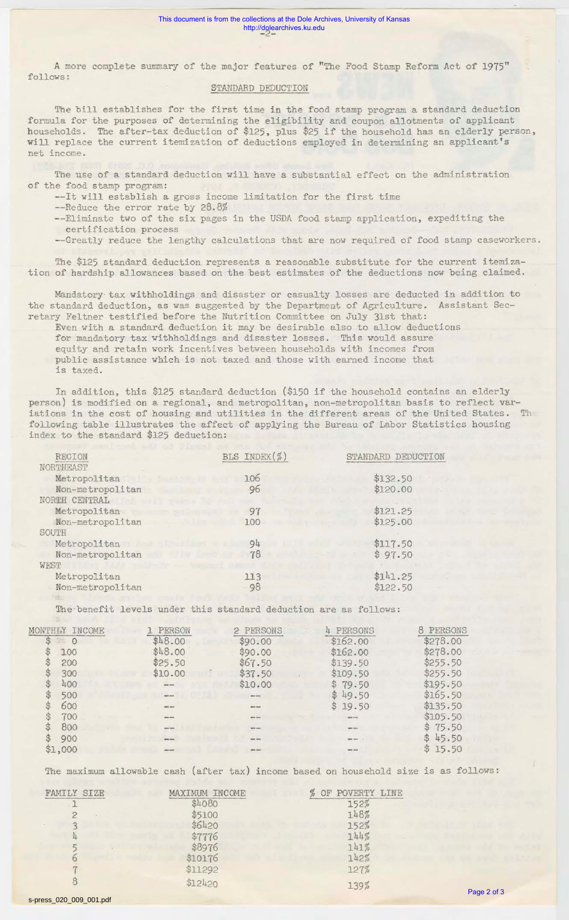A more complete summary of the major features of "The Food Stamp Reform Act of 1975" follows:

## STANDARD DEDUCTION

The bill establishes for the first time in the food stamp program a standard deduction formula for the purposes of determining the eligibility and coupon allotments of applicant households. The after-tax deduction of \$125, plus \$25 if the household has an elderly person, will replace the current itemization of deductions employed in determining an applicant 's net income.

The use of a standard deduction will have a substantial effect on the administration of the food stamp program:

--It will establish a gross income limitation for the first time

--Reduce the error rate by 28.8%

--Eliminate two of the six pages in the USDA food stamp application, expediting the

certification process

--Greatly reduce the lengthy calculations that are now required of food stamp caseworkers.

The \$125 standard deduction represents a reasonable substitute for the current itemization of hardship allowances based on the best estimates of the aeductions now being claimed.

Mandatory tax withholdings and disaster or casualty losses are deducted in addition to the standard deduction, as was suggested by the Department of Agriculture. Assistant Secretary Feltner testified before the Nutrition Committee on July 31st that:

Even with a standard deduction it may be desirable also to allow deductions for mandatory tax withholdings and disaster losses. This would assure equity and retain work incentives between households with incomes from public assistance which is not taxed and those with earned income that is taxed.

In addition, this \$125 standard deduction (\$150 if the household contains an elderly person) is modified on a regional, and metropolitan, non-metropolitan basis to reflect variations in the cost of housing and utilities in the different areas of the United States. Th following table illustrates the affect of applying the Bureau of Labor Statistics housing index to the standard \$125 deduction:

| REGION                                | BLS INDEX(%)           | STANDARD DEDUCTION |
|---------------------------------------|------------------------|--------------------|
| NORTHEAST                             |                        |                    |
| Metropolitan                          | 106                    | \$132.50           |
| Non-metropolitan                      | 96                     | \$120.00           |
| NORTH CENTRAL<br>$2.74 - 1.7$         |                        |                    |
| Metropolitan                          | 97<br><b>CATARY</b>    | \$121.25           |
| Non-metropolitan                      | 100                    | \$125.00           |
| SOUTH                                 |                        |                    |
| Metropolitan<br>an address to the way | 94                     | \$117.50           |
| Non-metropolitan                      | 78<br><b>MARK TEMP</b> | \$97.50            |
| WEST                                  |                        |                    |
| Metropolitan                          | 113                    | \$141.25           |
| Non-metropolitan                      | 98                     | \$122.50           |
|                                       |                        |                    |

The-benefit levels under this standard deduction are as follows:

| MONTHIY | TNCOME. | PERSON              | 2 PERSONS        | 4 PERSONS        | 8 PERSONS |
|---------|---------|---------------------|------------------|------------------|-----------|
| S<br>보  | $\circ$ | \$48.00             | \$90.00          | \$162.00         | \$278.00  |
|         | 100     | \$48.00             | \$90.00          | \$162.00         | \$278.00  |
|         | 200     | \$25.50             | \$67.50          | \$139.50         | \$255.50  |
|         | 300     | \$10.00             | \$37.50          | \$109.50         | \$255.50  |
|         | 400     | <b>SHOP HOME</b>    | \$10.00          | \$79.50          | \$195.50  |
|         | 500     | --                  | $-1$             | \$49.50          | \$165.50  |
|         | 600     |                     | $---$            | \$19.50          | \$135.50  |
|         | 700     | same dates          | --               | server.          | \$105.50  |
|         | 800     | <b>MARK SHOPS</b>   | <b>SPIN SHOW</b> | <b>MARCHINE</b>  | \$75.50   |
|         | 900     | <b>MOVE JAVAS</b>   | --               | and men.         | \$45.50   |
| \$1,000 |         | <b>Mary America</b> | --               | <b>BRID 1984</b> | \$15.50   |

The maximum allowable cash (after tax) income based on household size is as follows:

| FAMILY SIZE | MAXIMUM INCOME | POVERTY LINE |
|-------------|----------------|--------------|
|             | \$4080         | 152%         |
|             | \$5100         | 148%         |
|             | \$6420         | 152%         |
|             | \$7776         | 144%         |
|             | \$8976         | 141%         |
|             | \$10176        | 142%         |
|             | \$11292        | 127%         |
|             | \$12420        | 139%         |